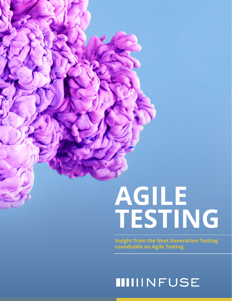# **AGILE TESTING**

**Insight from the Next Generation Testing roundtable on Agile Testing**

### **IIIIINFUSE**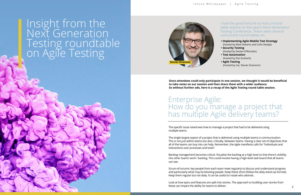# Insight from the Next Generation Testing roundtable on Agile Testing

I had the good fortune to host a round table session at this year's Next Generation Testing Conference. There were several concurrent round tables on:

- **Implementing Agile Mobile Test Strategy**  (hosted by Mark Roberts and Colin Deady);
- **Security Testing**  (hosted by Declan O'Riordan);
- **Test Automation**  (hosted by Dot Graham);
- **Agile Testing**  (hosted by me, Stevan Zivanovic)

**Since attendees could only participate in one session, we thought it would be beneficial to take notes on our session and then share them with a wider audience. So without further ado, here is a recap of the Agile Testing round table session.**

### Enterprise Agile: How do you manage a project that has multiple Agile delivery teams?

The specific issue raised was how to manage a project that had to be delivered using multiple teams.

Look at how epics and features are split into stories. The approach to building user stories from these can impact the ability for teams to deliver.  $1/2$  and the distribution of the distribution of the distribution of the distribution of the distribution of the distribution of the distribution of the distribution of the distribution of  $2$ 

The single largest aspect of a project that is delivered using multiple teams is communication. This is not just within teams but also, critically, between teams. Having a clear set of objectives that all of the teams can buy into can help. Remember, the Agile manifesto calls for "Individuals and interactions over processes and tools".

Backlog management becomes critical. Visualise the backlog at a high level so that there's visibility into other teams' work / backlog. This could involve having a high-level task board that all teams can see.

Scrum-of-scrums: key people from each team meet regularly to discuss and understand progress and particularly what may be blocking people. Keep these short (follow the daily stand-up format). Keep them regular but not daily. It can be useful to rotate who attends.

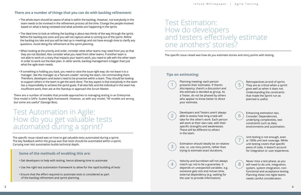### Test Automation in Agile: How do you get valuable tests automated during a sprint?

The specific issue raised was on how to get valuable tests automated during a sprint. The key feedback within the group was that tests should be automated within a sprint. Carrying over test automation builds technical depth.

#### **Some of the methods of enabling this are:**

- Get developers to help with testing, hence allowing time to automate
- Use the right test automation framework to allow for the rapid building of tests
- Ensure that the effort required to automate tests is considered as part of the backlog refinement and sprint planning.

### Test Estimation: How do developers and testers effectively estimate one anothers' stories?

The specific issue raised was how do you estimate stories and story points with testing.

#### **Tips on estimating:**

Planning meeting: each person presents their estimates. If there's discrepancy, there's a discussion and the estimate is decided as group. As a Tester, do not be phased by others who appear to know better to direct your estimate.

Developers and Testers aren't always able to assess how long a task will take for the other's work. Each person will work at their own rate, with their specific strengths and weaknesses. These will be different to others in the team.

Estimation should ideally be on relative size, i.e. use story points, rather than trying to estimate exact durations.

Velocity and burndown will not always match up; not to be a guarantee. It 4 8 depends on unexpected variables. e.g. someone gets sick and misses time, external dependency (e.g. waiting for the user to provide information).

#### **There are a number of things that you can do with backlog refinement:**

- The whole team should be aware of what is within the backlog. However, not everybody in the team needs to be involved in the refinement process all the time. Change the people involved based on what is being reviewed and what activities are happening in the sprint.
- The ideal time to look at refining the backlog is about two thirds of the way through the sprint. Refine the backlog too soon and you will not capture what is coming out of the sprint. Refine the backlog too late and you will be tied up in meetings and not have enough time to clarify any questions. Avoid doing the refinement at the sprint planning.
- When looking at the priority and order, consider what other teams may need from you so that they are not blocked. Also consider what you need from other teams. If another team is not able to work on a story that impacts your team's work, you need to talk with the other team in order to work out the best plan. In other words, backlog management is bigger than just what the agile team needs.
- If something is holding you back, you need to raise the issue right way; do not leave it to a manager. See the manager as a 'Servant Leader': serving the team, not commanding them. Therefore, developers and testers need to be proactive within a team. They should be looking to support others in the team to get the work done. The key aspect is that everybody in the team has a responsibility to achieve the sprint goals. If all else fails and the individual in the team has insufficient work, then ask at the Standup or approach the Scrum Master.

There are a number of models that provide approaches to managing testing in an Enterprise. One model is SAFe: Scaled Agile framework. However, as with any model, "All models are wrong but some are useful" (George Box).

Retrospectives at end of sprint. They are as critical when a sprint goes well as when it does not. Understanding the constraints that made the Sprint run as planned is useful.

Enhancing estimation tips. Consider: Dependencies, underlying complexities, test constraints such as data, environments and automation.



Unit testing is not enough, even at 100% unit test coverage. While unit testing covers that specific piece of code, it doesn't account for integration or user experience.

Never miss a test phase, as you will need to do unit, integration, system, system integration, nonfunctional and acceptance testing. Planning these into Agile teams needs careful consideration.

1

2

3

7



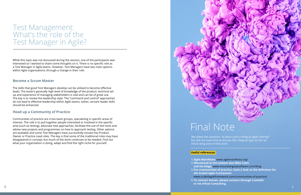### Test Management: What's the role of the Test Manager in Agile?

While this topic was not discussed during the session, one of the participants was interested so I wanted to share some thoughts on it. There is no specific role as a Test Manager in Agile teams. However, Test Managers have two main options within Agile organisations, through a change in their role:

#### **Become a Scrum Master**

The skills that good Test Managers develop can be utilised to become effective leads. The tester's generally high level of knowledge of the product, technical set up and experience of managing stakeholders is vital and can be of great use. The key is to review the leadership style. The "command and control" approaches do not lead to effective leadership within Agile teams; rather, servant leader skills should be enhanced.

#### **Head up a Community of Practice**

Communities of practice are cross-team groups, specialising in specific areas of interest. The role is to pull together people interested or involved in the specific area (such as testing), advocate new approaches, facilitate the use of test tools and advise new projects and programmes on how to approach testing. Other options are available and some Test Managers have successfully moved into Product Owner or Practice Lead roles. The key is that some of the traditional roles may have disappeared in concept, but much of the work continues to be needed. Find out what your organisation is doing, adapt and find the right niche for yourself.



# Final Note

We asked the question, "Is there such a thing as Agile Testing?" but did not have time to discuss this. Keep an eye out for an Infuse blog post on this soon.

#### **Useful references:**

1) **Agile Manifesto:** www.agilemanifesto.org/ 2) **Mentioned at the session was Mike Cohn the Scaled Agile Framework: or via**

### **and his blogs:** www.mountaingoatsoftware.com/blog 3) **For communities of practice, have a look at the definition for**  www.scaledagileframework.com/communities-of-practice/

4) **To contact Stevan, please connect through LinkedIn Infuse Consulting.**